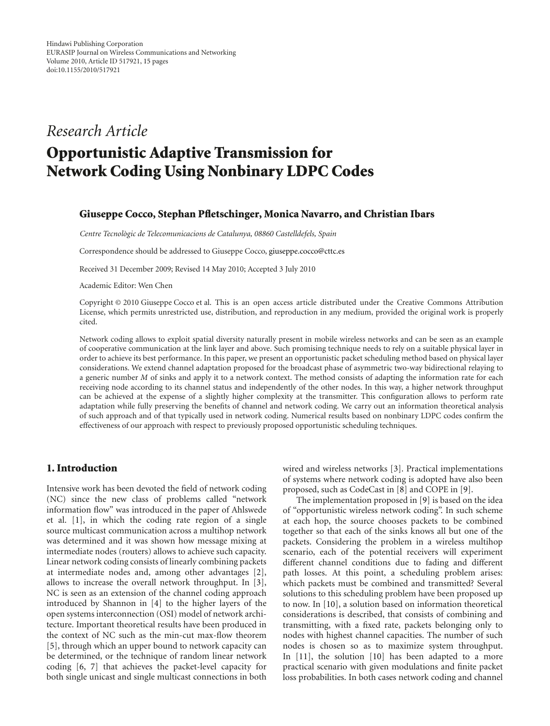# *Research Article*

# **Opportunistic Adaptive Transmission for Network Coding Using Nonbinary LDPC Codes**

#### **Giuseppe Cocco, Stephan Pfletschinger, Monica Navarro, and Christian Ibars**

*Centre Tecnologic de Telecomunicacions de Catalunya, 08860 Castelldefels, Spain `*

Correspondence should be addressed to Giuseppe Cocco, giuseppe.cocco@cttc.es

Received 31 December 2009; Revised 14 May 2010; Accepted 3 July 2010

Academic Editor: Wen Chen

Copyright © 2010 Giuseppe Cocco et al. This is an open access article distributed under the Creative Commons Attribution License, which permits unrestricted use, distribution, and reproduction in any medium, provided the original work is properly cited.

Network coding allows to exploit spatial diversity naturally present in mobile wireless networks and can be seen as an example of cooperative communication at the link layer and above. Such promising technique needs to rely on a suitable physical layer in order to achieve its best performance. In this paper, we present an opportunistic packet scheduling method based on physical layer considerations. We extend channel adaptation proposed for the broadcast phase of asymmetric two-way bidirectional relaying to a generic number *M* of sinks and apply it to a network context. The method consists of adapting the information rate for each receiving node according to its channel status and independently of the other nodes. In this way, a higher network throughput can be achieved at the expense of a slightly higher complexity at the transmitter. This configuration allows to perform rate adaptation while fully preserving the benefits of channel and network coding. We carry out an information theoretical analysis of such approach and of that typically used in network coding. Numerical results based on nonbinary LDPC codes confirm the effectiveness of our approach with respect to previously proposed opportunistic scheduling techniques.

# **1. Introduction**

Intensive work has been devoted the field of network coding (NC) since the new class of problems called "network information flow" was introduced in the paper of Ahlswede et al. [1], in which the coding rate region of a single source multicast communication across a multihop network was determined and it was shown how message mixing at intermediate nodes (routers) allows to achieve such capacity. Linear network coding consists of linearly combining packets at intermediate nodes and, among other advantages [2], allows to increase the overall network throughput. In [3], NC is seen as an extension of the channel coding approach introduced by Shannon in [4] to the higher layers of the open systems interconnection (OSI) model of network architecture. Important theoretical results have been produced in the context of NC such as the min-cut max-flow theorem [5], through which an upper bound to network capacity can be determined, or the technique of random linear network coding [6, 7] that achieves the packet-level capacity for both single unicast and single multicast connections in both

wired and wireless networks [3]. Practical implementations of systems where network coding is adopted have also been proposed, such as CodeCast in [8] and COPE in [9].

The implementation proposed in [9] is based on the idea of "opportunistic wireless network coding". In such scheme at each hop, the source chooses packets to be combined together so that each of the sinks knows all but one of the packets. Considering the problem in a wireless multihop scenario, each of the potential receivers will experiment different channel conditions due to fading and different path losses. At this point, a scheduling problem arises: which packets must be combined and transmitted? Several solutions to this scheduling problem have been proposed up to now. In [10], a solution based on information theoretical considerations is described, that consists of combining and transmitting, with a fixed rate, packets belonging only to nodes with highest channel capacities. The number of such nodes is chosen so as to maximize system throughput. In [11], the solution [10] has been adapted to a more practical scenario with given modulations and finite packet loss probabilities. In both cases network coding and channel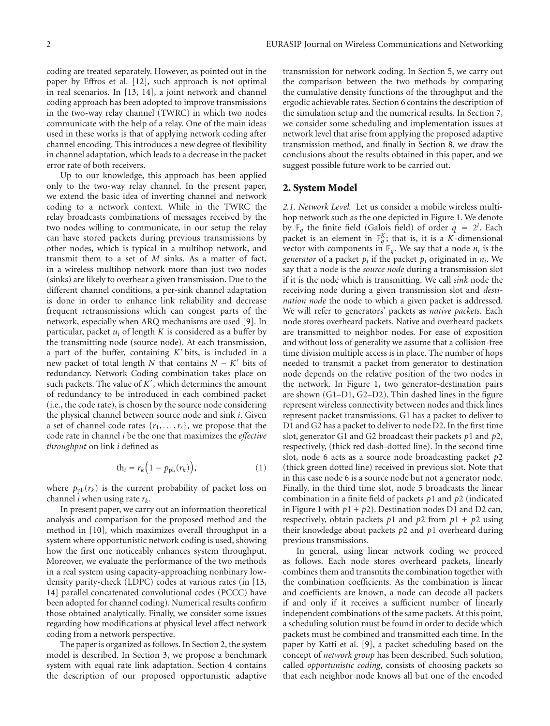coding are treated separately. However, as pointed out in the paper by Effros et al. [12], such approach is not optimal in real scenarios. In [13, 14], a joint network and channel coding approach has been adopted to improve transmissions in the two-way relay channel (TWRC) in which two nodes communicate with the help of a relay. One of the main ideas used in these works is that of applying network coding after channel encoding. This introduces a new degree of flexibility in channel adaptation, which leads to a decrease in the packet error rate of both receivers.

Up to our knowledge, this approach has been applied only to the two-way relay channel. In the present paper, we extend the basic idea of inverting channel and network coding to a network context. While in the TWRC the relay broadcasts combinations of messages received by the two nodes willing to communicate, in our setup the relay can have stored packets during previous transmissions by other nodes, which is typical in a multihop network, and transmit them to a set of *M* sinks. As a matter of fact, in a wireless multihop network more than just two nodes (sinks) are likely to overhear a given transmission. Due to the different channel conditions, a per-sink channel adaptation is done in order to enhance link reliability and decrease frequent retransmissions which can congest parts of the network, especially when ARQ mechanisms are used [9]. In particular, packet  $u_i$  of length  $K$  is considered as a buffer by the transmitting node (source node). At each transmission, a part of the buffer, containing *K'* bits, is included in a new packet of total length *N* that contains  $N - K'$  bits of redundancy. Network Coding combination takes place on such packets. The value of K', which determines the amount of redundancy to be introduced in each combined packet (i.e., the code rate), is chosen by the source node considering the physical channel between source node and sink *i*. Given a set of channel code rates  $\{r_1, \ldots, r_s\}$ , we propose that the code rate in channel *i* be the one that maximizes the *effective throughput* on link *i* defined as

$$
\text{th}_i = r_k \Big( 1 - p_{\text{pl}_i}(r_k) \Big), \tag{1}
$$

where  $p_{\text{pl}_i}(r_k)$  is the current probability of packet loss on channel *i* when using rate *rk*.

In present paper, we carry out an information theoretical analysis and comparison for the proposed method and the method in [10], which maximizes overall throughput in a system where opportunistic network coding is used, showing how the first one noticeably enhances system throughput. Moreover, we evaluate the performance of the two methods in a real system using capacity-approaching nonbinary lowdensity parity-check (LDPC) codes at various rates (in [13, 14] parallel concatenated convolutional codes (PCCC) have been adopted for channel coding). Numerical results confirm those obtained analytically. Finally, we consider some issues regarding how modifications at physical level affect network coding from a network perspective.

The paper is organized as follows. In Section 2, the system model is described. In Section 3, we propose a benchmark system with equal rate link adaptation. Section 4 contains the description of our proposed opportunistic adaptive

transmission for network coding. In Section 5, we carry out the comparison between the two methods by comparing the cumulative density functions of the throughput and the ergodic achievable rates. Section 6 contains the description of the simulation setup and the numerical results. In Section 7, we consider some scheduling and implementation issues at network level that arise from applying the proposed adaptive transmission method, and finally in Section 8, we draw the conclusions about the results obtained in this paper, and we suggest possible future work to be carried out.

#### **2. System Model**

*2.1. Network Level.* Let us consider a mobile wireless multihop network such as the one depicted in Figure 1. We denote by  $\mathbb{F}_q$  the finite field (Galois field) of order  $q = 2^l$ . Each packet is an element in  $\mathbb{F}_q^K$ ; that is, it is a *K*-dimensional vector with components in  $\mathbb{F}_q$ . We say that a node  $n_i$  is the *generator* of a packet  $p_i$  if the packet  $p_i$  originated in  $n_i$ . We say that a node is the *source node* during a transmission slot if it is the node which is transmitting. We call *sink* node the receiving node during a given transmission slot and *destination node* the node to which a given packet is addressed. We will refer to generators' packets as *native packets*. Each node stores overheard packets. Native and overheard packets are transmitted to neighbor nodes. For ease of exposition and without loss of generality we assume that a collision-free time division multiple access is in place. The number of hops needed to transmit a packet from generator to destination node depends on the relative position of the two nodes in the network. In Figure 1, two generator-destination pairs are shown (G1–D1, G2–D2). Thin dashed lines in the figure represent wireless connectivity between nodes and thick lines represent packet transmissions. G1 has a packet to deliver to D1 and G2 has a packet to deliver to node D2. In the first time slot, generator G1 and G2 broadcast their packets *p*1 and *p*2, respectively, (thick red dash-dotted line). In the second time slot, node 6 acts as a source node broadcasting packet *p*2 (thick green dotted line) received in previous slot. Note that in this case node 6 is a source node but not a generator node. Finally, in the third time slot, node 5 broadcasts the linear combination in a finite field of packets *p*1 and *p*2 (indicated in Figure 1 with  $p1 + p2$ ). Destination nodes D1 and D2 can, respectively, obtain packets  $p1$  and  $p2$  from  $p1 + p2$  using their knowledge about packets *p*2 and *p*1 overheard during previous transmissions.

In general, using linear network coding we proceed as follows. Each node stores overheard packets, linearly combines them and transmits the combination together with the combination coefficients. As the combination is linear and coefficients are known, a node can decode all packets if and only if it receives a sufficient number of linearly independent combinations of the same packets. At this point, a scheduling solution must be found in order to decide which packets must be combined and transmitted each time. In the paper by Katti et al. [9], a packet scheduling based on the concept of *network group* has been described. Such solution, called *opportunistic coding*, consists of choosing packets so that each neighbor node knows all but one of the encoded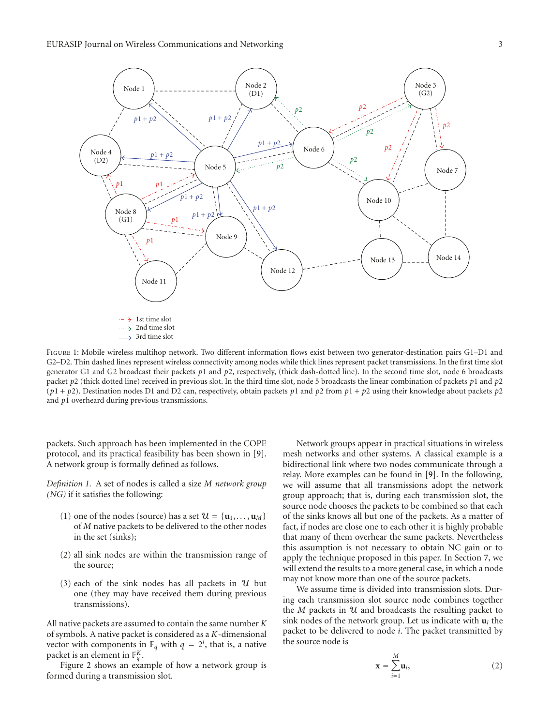

FIGURE 1: Mobile wireless multihop network. Two different information flows exist between two generator-destination pairs G1–D1 and G2–D2. Thin dashed lines represent wireless connectivity among nodes while thick lines represent packet transmissions. In the first time slot generator G1 and G2 broadcast their packets *p*1 and *p*2, respectively, (thick dash-dotted line). In the second time slot, node 6 broadcasts packet *p*2 (thick dotted line) received in previous slot. In the third time slot, node 5 broadcasts the linear combination of packets *p*1 and *p*2 (*p*1 + *p*2). Destination nodes D1 and D2 can, respectively, obtain packets *p*1 and *p*2 from *p*1 + *p*2 using their knowledge about packets *p*2 and *p*1 overheard during previous transmissions.

packets. Such approach has been implemented in the COPE protocol, and its practical feasibility has been shown in [9]. A network group is formally defined as follows.

*Definition 1.* A set of nodes is called a size *M network group (NG)* if it satisfies the following:

- (1) one of the nodes (source) has a set  $\mathcal{U} = {\mathbf{u}_1, \dots, \mathbf{u}_M}$ of *M* native packets to be delivered to the other nodes in the set (sinks);
- (2) all sink nodes are within the transmission range of the source;
- (3) each of the sink nodes has all packets in  $U$  but one (they may have received them during previous transmissions).

All native packets are assumed to contain the same number *K* of symbols. A native packet is considered as a *K*-dimensional vector with components in  $\mathbb{F}_q$  with  $q = 2^l$ , that is, a native packet is an element in  $\mathbb{F}_q^K$ .

Figure 2 shows an example of how a network group is formed during a transmission slot.

Network groups appear in practical situations in wireless mesh networks and other systems. A classical example is a bidirectional link where two nodes communicate through a relay. More examples can be found in [9]. In the following, we will assume that all transmissions adopt the network group approach; that is, during each transmission slot, the source node chooses the packets to be combined so that each of the sinks knows all but one of the packets. As a matter of fact, if nodes are close one to each other it is highly probable that many of them overhear the same packets. Nevertheless this assumption is not necessary to obtain NC gain or to apply the technique proposed in this paper. In Section 7, we will extend the results to a more general case, in which a node may not know more than one of the source packets.

We assume time is divided into transmission slots. During each transmission slot source node combines together the  $M$  packets in  $U$  and broadcasts the resulting packet to sink nodes of the network group. Let us indicate with  $\mathbf{u}_i$  the packet to be delivered to node *i*. The packet transmitted by the source node is

$$
\mathbf{x} = \sum_{i=1}^{M} \mathbf{u}_i,
$$
 (2)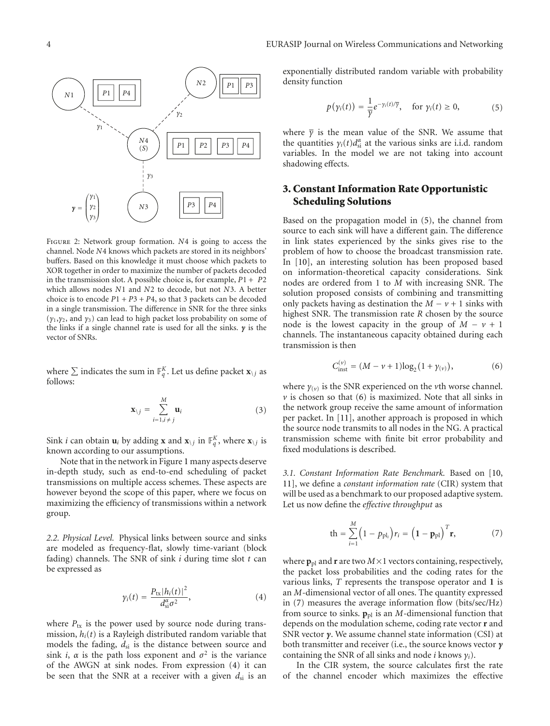

Figure 2: Network group formation. *N*4 is going to access the channel. Node *N*4 knows which packets are stored in its neighbors' buffers. Based on this knowledge it must choose which packets to XOR together in order to maximize the number of packets decoded in the transmission slot. A possible choice is, for example, *P*1 + *P*2 which allows nodes *N*1 and *N*2 to decode, but not *N*3. A better choice is to encode  $P1 + P3 + P4$ , so that 3 packets can be decoded in a single transmission. The difference in SNR for the three sinks (*γ*1,*γ*2, and *γ*3) can lead to high packet loss probability on some of the links if a single channel rate is used for all the sinks. *γ* is the vector of SNRs.

where  $\sum$  indicates the sum in  $\mathbb{F}_q^K$ . Let us define packet  $\mathbf{x}_{\setminus j}$  as follows:

$$
\mathbf{x}_{\backslash j} = \sum_{i=1, i \neq j}^{M} \mathbf{u}_i \tag{3}
$$

Sink *i* can obtain  $\mathbf{u}_i$  by adding **x** and  $\mathbf{x}_{\setminus j}$  in  $\mathbb{F}_q^K$ , where  $\mathbf{x}_{\setminus j}$  is known according to our assumptions.

Note that in the network in Figure 1 many aspects deserve in-depth study, such as end-to-end scheduling of packet transmissions on multiple access schemes. These aspects are however beyond the scope of this paper, where we focus on maximizing the efficiency of transmissions within a network group.

*2.2. Physical Level.* Physical links between source and sinks are modeled as frequency-flat, slowly time-variant (block fading) channels. The SNR of sink *i* during time slot *t* can be expressed as

$$
\gamma_i(t) = \frac{P_{\text{tx}} |h_i(t)|^2}{d_{\text{si}}^{\alpha} \sigma^2},
$$
\n(4)

where  $P_{\text{tx}}$  is the power used by source node during transmission, *hi*(*t*) is a Rayleigh distributed random variable that models the fading,  $d_{si}$  is the distance between source and sink *i*,  $\alpha$  is the path loss exponent and  $\sigma^2$  is the variance of the AWGN at sink nodes. From expression (4) it can be seen that the SNR at a receiver with a given  $d_{si}$  is an

exponentially distributed random variable with probability density function

$$
p(\gamma_i(t)) = \frac{1}{\overline{\gamma}} e^{-\gamma_i(t)/\overline{\gamma}}, \quad \text{for } \gamma_i(t) \ge 0,
$$
 (5)

where  $\bar{y}$  is the mean value of the SNR. We assume that the quantities  $\gamma_i(t)d_{\rm si}^{\alpha}$  at the various sinks are i.i.d. random variables. In the model we are not taking into account shadowing effects.

# **3. Constant Information Rate Opportunistic Scheduling Solutions**

Based on the propagation model in (5), the channel from source to each sink will have a different gain. The difference in link states experienced by the sinks gives rise to the problem of how to choose the broadcast transmission rate. In [10], an interesting solution has been proposed based on information-theoretical capacity considerations. Sink nodes are ordered from 1 to *M* with increasing SNR. The solution proposed consists of combining and transmitting only packets having as destination the  $M - v + 1$  sinks with highest SNR. The transmission rate *R* chosen by the source node is the lowest capacity in the group of  $M - v + 1$ channels. The instantaneous capacity obtained during each transmission is then

$$
C_{\text{inst}}^{(\nu)} = (M - \nu + 1)\log_2(1 + \gamma_{(\nu)}),\tag{6}
$$

where *γ*(*v*) is the SNR experienced on the *v*th worse channel.  $\nu$  is chosen so that (6) is maximized. Note that all sinks in the network group receive the same amount of information per packet. In [11], another approach is proposed in which the source node transmits to all nodes in the NG. A practical transmission scheme with finite bit error probability and fixed modulations is described.

*3.1. Constant Information Rate Benchmark.* Based on [10, 11], we define a *constant information rate* (CIR) system that will be used as a benchmark to our proposed adaptive system. Let us now define the *effective throughput* as

$$
th = \sum_{i=1}^{M} (1 - p_{\text{pl}_i}) r_i = (1 - p_{\text{pl}})^T r,
$$
 (7)

where  $\mathbf{p}_{\text{pl}}$  and **r** are two  $M \times 1$  vectors containing, respectively, the packet loss probabilities and the coding rates for the various links, *T* represents the transpose operator and **1** is an *M*-dimensional vector of all ones. The quantity expressed in (7) measures the average information flow (bits/sec/Hz) from source to sinks.  $\mathbf{p}_{\text{pl}}$  is an *M*-dimensional function that depends on the modulation scheme, coding rate vector **r** and SNR vector *γ*. We assume channel state information (CSI) at both transmitter and receiver (i.e., the source knows vector *γ* containing the SNR of all sinks and node *i* knows *γi*).

In the CIR system, the source calculates first the rate of the channel encoder which maximizes the effective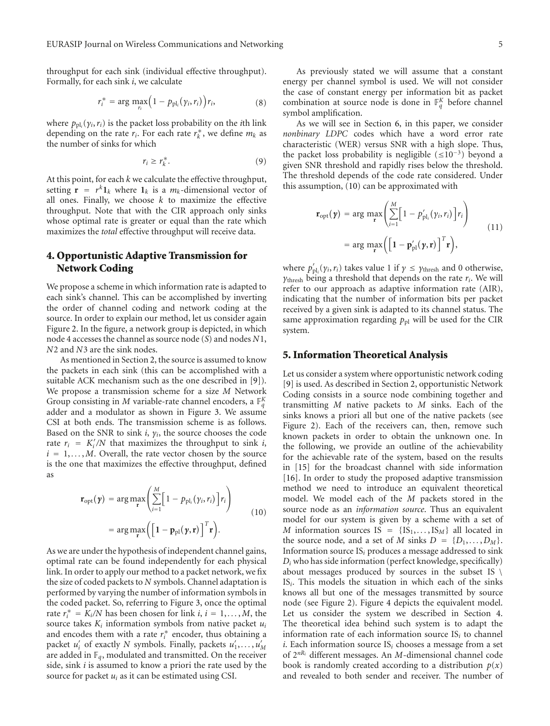throughput for each sink (individual effective throughput). Formally, for each sink *i*, we calculate

$$
r_i^* = \arg\max_{r_i} \left(1 - p_{\text{pl}_i}(y_i, r_i)\right) r_i,\tag{8}
$$

where  $p_{\text{pl}_i}(\gamma_i, r_i)$  is the packet loss probability on the *i*th link depending on the rate  $r_i$ . For each rate  $r_k^*$ , we define  $m_k$  as the number of sinks for which

$$
r_i \ge r_k^*.\tag{9}
$$

At this point, for each *k* we calculate the effective throughput, setting  $\mathbf{r} = r^k \mathbf{1}_k$  where  $\mathbf{1}_k$  is a  $m_k$ -dimensional vector of all ones. Finally, we choose *k* to maximize the effective throughput. Note that with the CIR approach only sinks whose optimal rate is greater or equal than the rate which maximizes the *total* effective throughput will receive data.

# **4. Opportunistic Adaptive Transmission for Network Coding**

We propose a scheme in which information rate is adapted to each sink's channel. This can be accomplished by inverting the order of channel coding and network coding at the source. In order to explain our method, let us consider again Figure 2. In the figure, a network group is depicted, in which node 4 accesses the channel as source node (*S*) and nodes *N*1, *N*2 and *N*3 are the sink nodes.

As mentioned in Section 2, the source is assumed to know the packets in each sink (this can be accomplished with a suitable ACK mechanism such as the one described in [9]). We propose a transmission scheme for a size *M* Network Group consisting in *M* variable-rate channel encoders, a  $\mathbb{F}_q^k$ adder and a modulator as shown in Figure 3. We assume CSI at both ends. The transmission scheme is as follows. Based on the SNR to sink  $i$ ,  $\gamma_i$ , the source chooses the code rate  $r_i = K_i^{\prime}/N$  that maximizes the throughput to sink *i*,  $i = 1, \ldots, M$ . Overall, the rate vector chosen by the source is the one that maximizes the effective throughput, defined as

$$
\mathbf{r}_{\rm opt}(\boldsymbol{\gamma}) = \arg \max_{\mathbf{r}} \left( \sum_{i=1}^{M} \Big[ 1 - p_{\rm pl_i}(\gamma_i, r_i) \Big] r_i \right)
$$

$$
= \arg \max_{\mathbf{r}} \left( \Big[ 1 - p_{\rm pl}(\boldsymbol{\gamma}, \mathbf{r}) \Big]^T \mathbf{r} \right). \tag{10}
$$

As we are under the hypothesis of independent channel gains, optimal rate can be found independently for each physical link. In order to apply our method to a packet network, we fix the size of coded packets to *N* symbols. Channel adaptation is performed by varying the number of information symbols in the coded packet. So, referring to Figure 3, once the optimal rate  $r_i^* = K_i/N$  has been chosen for link *i*,  $i = 1, ..., M$ , the source takes *Ki* information symbols from native packet *ui* and encodes them with a rate  $r_i^*$  encoder, thus obtaining a packet  $u'_i$  of exactly *N* symbols. Finally, packets  $u'_1, \ldots, u'_M$ are added in  $\mathbb{F}_q$ , modulated and transmitted. On the receiver side, sink *i* is assumed to know a priori the rate used by the source for packet  $u_i$  as it can be estimated using CSI.

As previously stated we will assume that a constant energy per channel symbol is used. We will not consider the case of constant energy per information bit as packet combination at source node is done in  $\mathbb{F}_q^K$  before channel symbol amplification.

As we will see in Section 6, in this paper, we consider *nonbinary LDPC* codes which have a word error rate characteristic (WER) versus SNR with a high slope. Thus, the packet loss probability is negligible  $(\leq 10^{-3})$  beyond a given SNR threshold and rapidly rises below the threshold. The threshold depends of the code rate considered. Under this assumption, (10) can be approximated with

$$
\mathbf{r}_{\rm opt}(\boldsymbol{\gamma}) = \arg \max_{\mathbf{r}} \left( \sum_{i=1}^{M} \left[ 1 - p'_{\rm pl_i}(\gamma_i, r_i) \right] r_i \right)
$$
  
= 
$$
\arg \max_{\mathbf{r}} \left( \left[ 1 - p'_{\rm pl}(\boldsymbol{\gamma}, \mathbf{r}) \right]^{T} \mathbf{r} \right),
$$
 (11)

where  $p'_{\text{pl}_i}(y_i, r_i)$  takes value 1 if  $\gamma \leq y_{\text{thresh}}$  and 0 otherwise, *γ*thresh being a threshold that depends on the rate *ri*. We will refer to our approach as adaptive information rate (AIR), indicating that the number of information bits per packet received by a given sink is adapted to its channel status. The same approximation regarding  $p_{\text{pl}}$  will be used for the CIR system.

#### **5. Information Theoretical Analysis**

Let us consider a system where opportunistic network coding [9] is used. As described in Section 2, opportunistic Network Coding consists in a source node combining together and transmitting *M* native packets to *M* sinks. Each of the sinks knows a priori all but one of the native packets (see Figure 2). Each of the receivers can, then, remove such known packets in order to obtain the unknown one. In the following, we provide an outline of the achievability for the achievable rate of the system, based on the results in [15] for the broadcast channel with side information [16]. In order to study the proposed adaptive transmission method we need to introduce an equivalent theoretical model. We model each of the *M* packets stored in the source node as an *information source*. Thus an equivalent model for our system is given by a scheme with a set of *M* information sources  $IS = \{IS_1, \ldots, IS_M\}$  all located in the source node, and a set of *M* sinks  $D = \{D_1, \ldots, D_M\}.$ Information source IS*<sup>i</sup>* produces a message addressed to sink  $D_i$  who has side information (perfect knowledge, specifically) about messages produced by sources in the subset IS \ IS*i*. This models the situation in which each of the sinks knows all but one of the messages transmitted by source node (see Figure 2). Figure 4 depicts the equivalent model. Let us consider the system we described in Section 4. The theoretical idea behind such system is to adapt the information rate of each information source IS*<sup>i</sup>* to channel  $i$ . Each information source  $IS_i$  chooses a message from a set of 2*nRi* different messages. An *M*-dimensional channel code book is randomly created according to a distribution  $p(x)$ and revealed to both sender and receiver. The number of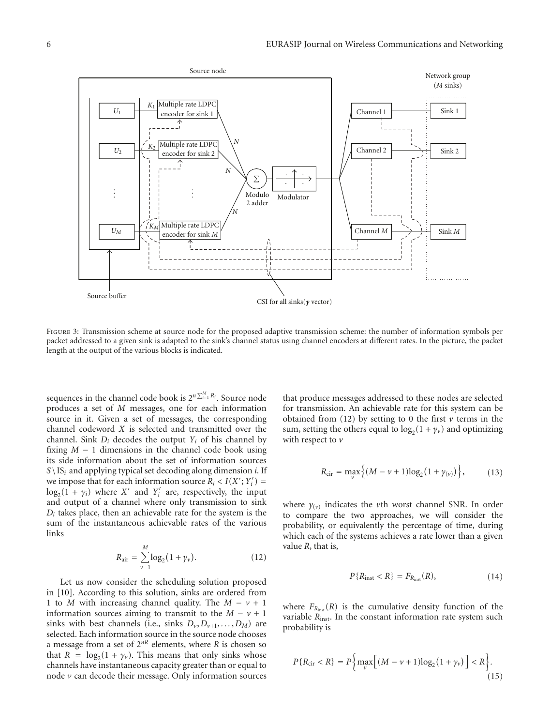

Figure 3: Transmission scheme at source node for the proposed adaptive transmission scheme: the number of information symbols per packet addressed to a given sink is adapted to the sink's channel status using channel encoders at different rates. In the picture, the packet length at the output of the various blocks is indicated.

sequences in the channel code book is  $2^{n \sum_{i=1}^{M} R_i}$ . Source node produces a set of *M* messages, one for each information source in it. Given a set of messages, the corresponding channel codeword *X* is selected and transmitted over the channel. Sink *Di* decodes the output *Yi* of his channel by fixing  $M - 1$  dimensions in the channel code book using its side information about the set of information sources *<sup>S</sup>*\IS*<sup>i</sup>* and applying typical set decoding along dimension *<sup>i</sup>*. If we impose that for each information source  $R_i < I(X'; Y'_i)$  =  $log_2(1 + \gamma_i)$  where *X'* and *Y<sub>i</sub>* are, respectively, the input and output of a channel where only transmission to sink *Di* takes place, then an achievable rate for the system is the sum of the instantaneous achievable rates of the various links

$$
R_{\text{air}} = \sum_{\nu=1}^{M} \log_2(1 + \gamma_{\nu}).
$$
 (12)

Let us now consider the scheduling solution proposed in [10]. According to this solution, sinks are ordered from 1 to *M* with increasing channel quality. The  $M - v + 1$ information sources aiming to transmit to the  $M - v + 1$ sinks with best channels (i.e., sinks  $D_{\nu}, D_{\nu+1}, \ldots, D_M$ ) are selected. Each information source in the source node chooses a message from a set of 2*nR* elements, where *R* is chosen so that  $R = \log_2(1 + \gamma_v)$ . This means that only sinks whose channels have instantaneous capacity greater than or equal to node *v* can decode their message. Only information sources

that produce messages addressed to these nodes are selected for transmission. An achievable rate for this system can be obtained from  $(12)$  by setting to 0 the first  $\nu$  terms in the sum, setting the others equal to  $\log_2(1 + \gamma_v)$  and optimizing with respect to *v*

$$
R_{\rm cir} = \max_{\nu} \left\{ (M - \nu + 1) \log_2 (1 + \gamma_{(\nu)}) \right\},\tag{13}
$$

where  $\gamma_{(\gamma)}$  indicates the *v*th worst channel SNR. In order to compare the two approaches, we will consider the probability, or equivalently the percentage of time, during which each of the systems achieves a rate lower than a given value *R*, that is,

$$
P\{R_{\text{inst}} < R\} = F_{R_{\text{inst}}}(R),\tag{14}
$$

where  $F_{R_{\text{inst}}}(R)$  is the cumulative density function of the variable  $R_{inst}$ . In the constant information rate system such probability is

$$
P\{R_{\rm cir} < R\} = P\bigg\{\max_{\nu} \Big[ (M - \nu + 1)\log_2\big(1 + \gamma_{\nu}\big) \Big] < R\bigg\}.\tag{15}
$$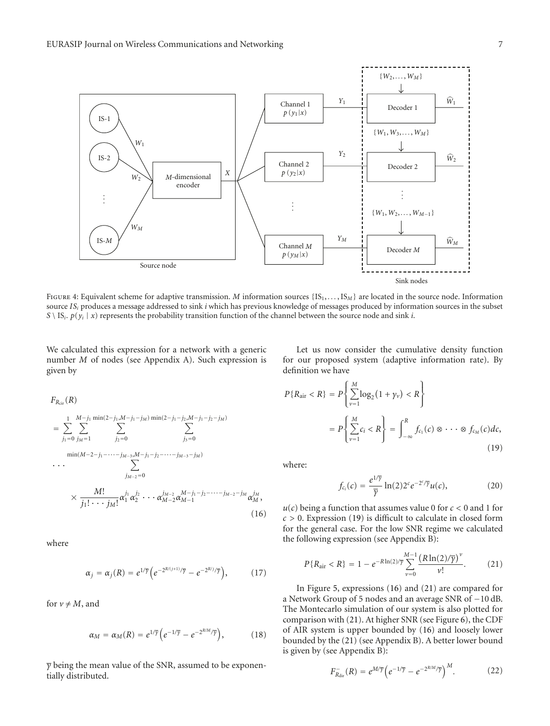

FIGURE 4: Equivalent scheme for adaptive transmission. *M* information sources {IS<sub>1</sub>, ..., IS<sub>M</sub>} are located in the source node. Information source *ISi* produces a message addressed to sink *i* which has previous knowledge of messages produced by information sources in the subset  $S \setminus IS_i$ .  $p(y_i | x)$  represents the probability transition function of the channel between the source node and sink *i*.

We calculated this expression for a network with a generic number *M* of nodes (see Appendix A). Such expression is given by

Let us now consider the cumulative density function for our proposed system (adaptive information rate). By definition we have

$$
F_{R_{\text{cir}}}(R)
$$
\n
$$
= \sum_{j_1=0}^{1} \sum_{j_2=1}^{M-j_1} \sum_{j_2=0}^{\min(2-j_1,M-j_1-j_M)} \sum_{j_3=0}^{\min(2-j_1-j_2,M-j_1-j_2-j_M)} \sum_{j_3=0}^{\min(M-2-j_1-\cdots-j_{M-3},M-j_1-j_2-\cdots-j_{M-3}-j_M)} \sum_{j_{M-2}=0}^{\min(M-2-j_1-\cdots-j_{M-3},M-j_1-j_2-\cdots-j_{M-2}-j_M)} \alpha_M^{j_M},
$$
\n
$$
\times \frac{M!}{j_1! \cdots j_M!} \alpha_1^{j_1} \alpha_2^{j_2} \cdots \alpha_{M-2}^{j_{M-2}} \alpha_{M-1}^{M-j_1-j_2-\cdots-j_{M-2}-j_M} \alpha_M^{j_M},
$$
\n(16)

where

$$
\alpha_j = \alpha_j(R) = e^{1/\overline{\gamma}} \Big( e^{-2^{R/(j+1)}/\overline{\gamma}} - e^{-2^{R/j}/\overline{\gamma}} \Big), \qquad (17)
$$

for  $v \neq M$ , and

$$
\alpha_M = \alpha_M(R) = e^{1/\overline{\gamma}} \Big( e^{-1/\overline{\gamma}} - e^{-2^{R/M}/\overline{\gamma}} \Big), \tag{18}
$$

 $\bar{\gamma}$  being the mean value of the SNR, assumed to be exponentially distributed.

$$
P\{R_{\text{air}} < R\} = P\left\{\sum_{\nu=1}^{M} \log_2(1 + \gamma_{\nu}) < R\right\}
$$
\n
$$
= P\left\{\sum_{\nu=1}^{M} c_i < R\right\} = \int_{-\infty}^{R} f_{c_1}(c) \otimes \cdots \otimes f_{c_M}(c) dc,\tag{19}
$$

where:

$$
f_{c_i}(c) = \frac{e^{1/\overline{\gamma}}}{\overline{\gamma}} \ln(2) 2^c e^{-2c/\overline{\gamma}} u(c), \qquad (20)
$$

 $u(c)$  being a function that assumes value 0 for  $c < 0$  and 1 for *c >* 0. Expression (19) is difficult to calculate in closed form for the general case. For the low SNR regime we calculated the following expression (see Appendix B):

$$
P\{R_{\rm air} < R\} = 1 - e^{-R\ln(2)/\overline{\gamma}} \sum_{\nu=0}^{M-1} \frac{\left(R\ln(2)/\overline{\gamma}\right)^{\nu}}{\nu!}.\tag{21}
$$

In Figure 5, expressions (16) and (21) are compared for a Network Group of 5 nodes and an average SNR of −10 dB. The Montecarlo simulation of our system is also plotted for comparison with (21). At higher SNR (see Figure 6), the CDF of AIR system is upper bounded by (16) and loosely lower bounded by the (21) (see Appendix B). A better lower bound is given by (see Appendix B):

$$
F_{R_{\rm dir}}^-(R) = e^{M/\overline{\gamma}} \left( e^{-1/\overline{\gamma}} - e^{-2^{R/M}/\overline{\gamma}} \right)^M.
$$
 (22)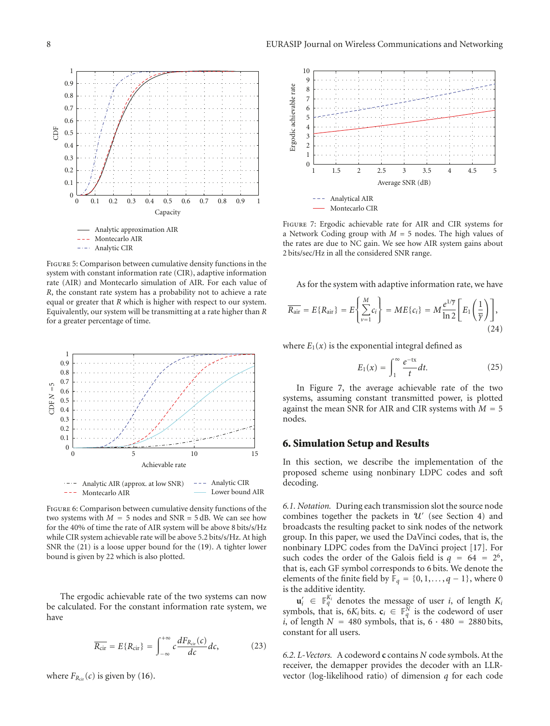

Figure 5: Comparison between cumulative density functions in the system with constant information rate (CIR), adaptive information rate (AIR) and Montecarlo simulation of AIR. For each value of *R*, the constant rate system has a probability not to achieve a rate equal or greater that *R* which is higher with respect to our system. Equivalently, our system will be transmitting at a rate higher than *R* for a greater percentage of time.



Figure 6: Comparison between cumulative density functions of the two systems with  $M = 5$  nodes and SNR =  $5$  dB. We can see how for the 40% of time the rate of AIR system will be above 8 bits/s/Hz while CIR system achievable rate will be above 5.2 bits/s/Hz. At high SNR the (21) is a loose upper bound for the (19). A tighter lower bound is given by 22 which is also plotted.

The ergodic achievable rate of the two systems can now be calculated. For the constant information rate system, we have

$$
\overline{R_{\rm cir}} = E\{R_{\rm cir}\} = \int_{-\infty}^{+\infty} c \frac{dF_{R_{\rm cir}}(c)}{dc} dc,
$$
 (23)

where  $F_{R_{\text{cir}}}(\mathfrak{c})$  is given by (16).



Figure 7: Ergodic achievable rate for AIR and CIR systems for a Network Coding group with *M* = 5 nodes. The high values of the rates are due to NC gain. We see how AIR system gains about 2 bits/sec/Hz in all the considered SNR range.

As for the system with adaptive information rate, we have

$$
\overline{R_{\text{air}}} = E\{R_{\text{air}}\} = E\left\{\sum_{\nu=1}^{M} c_i\right\} = ME\{c_i\} = M\frac{e^{1/\overline{\gamma}}}{\ln 2} \left[E_1\left(\frac{1}{\overline{\gamma}}\right)\right],\tag{24}
$$

where  $E_1(x)$  is the exponential integral defined as

$$
E_1(x) = \int_1^{\infty} \frac{e^{-tx}}{t} dt.
$$
 (25)

In Figure 7, the average achievable rate of the two systems, assuming constant transmitted power, is plotted against the mean SNR for AIR and CIR systems with *<sup>M</sup>* <sup>=</sup> <sup>5</sup> nodes.

#### **6. Simulation Setup and Results**

In this section, we describe the implementation of the proposed scheme using nonbinary LDPC codes and soft decoding.

*6.1. Notation.* During each transmission slot the source node combines together the packets in  $\mathcal{U}'$  (see Section 4) and broadcasts the resulting packet to sink nodes of the network group. In this paper, we used the DaVinci codes, that is, the nonbinary LDPC codes from the DaVinci project [17]. For such codes the order of the Galois field is  $q = 64 = 2^6$ , that is, each GF symbol corresponds to 6 bits. We denote the elements of the finite field by  $\mathbb{F}_q = \{0, 1, \ldots, q - 1\}$ , where 0 is the additive identity.

 $\mathbf{u}'_i \in \mathbb{F}_q^{K_i}$  denotes the message of user *i*, of length *K*<sub>i</sub> symbols, that is,  $6K_i$  bits.  $\mathbf{c}_i \in \mathbb{F}_q^N$  is the codeword of user *i*, of length  $N = 480$  symbols, that is,  $6 \cdot 480 = 2880$  bits, constant for all users.

*6.2. L-Vectors.* A codeword **c** contains *N* code symbols. At the receiver, the demapper provides the decoder with an LLRvector (log-likelihood ratio) of dimension *q* for each code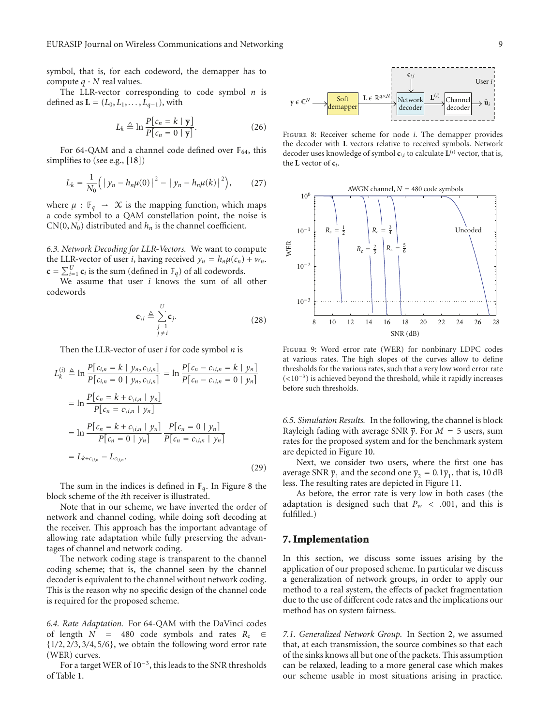symbol, that is, for each codeword, the demapper has to compute  $q \cdot N$  real values.

The LLR-vector corresponding to code symbol *n* is defined as  $\mathbf{L} = (L_0, L_1, \ldots, L_{q-1})$ , with

$$
L_k \triangleq \ln \frac{P[c_n = k \mid \mathbf{y}]}{P[c_n = 0 \mid \mathbf{y}]}.
$$
 (26)

For 64-QAM and a channel code defined over  $\mathbb{F}_{64}$ , this simplifies to (see e.g., [18])

$$
L_k = \frac{1}{N_0} (|y_n - h_n \mu(0)|^2 - |y_n - h_n \mu(k)|^2), \qquad (27)
$$

where  $\mu : \mathbb{F}_q \to \mathcal{X}$  is the mapping function, which maps a code symbol to a QAM constellation point, the noise is  $CN(0, N_0)$  distributed and  $h_n$  is the channel coefficient.

*6.3. Network Decoding for LLR-Vectors.* We want to compute the LLR-vector of user *i*, having received  $y_n = h_n \mu(c_n) + w_n$ .  $\mathbf{c} = \sum_{i=1}^{U} \mathbf{c}_i$  is the sum (defined in  $\mathbb{F}_q$ ) of all codewords.

We assume that user *i* knows the sum of all other codewords

$$
\mathbf{c}_{\backslash i} \triangleq \sum_{\substack{j=1 \ j \neq i}}^{U} \mathbf{c}_{j}.
$$
 (28)

Then the LLR-vector of user *i* for code symbol *n* is

$$
L_{k}^{(i)} \triangleq \ln \frac{P[c_{i,n} = k | y_n, c_{\backslash i,n}]}{P[c_{i,n} = 0 | y_n, c_{\backslash i,n}]} = \ln \frac{P[c_n - c_{\backslash i,n} = k | y_n]}{P[c_n - c_{\backslash i,n} = 0 | y_n]}
$$
  
= 
$$
\ln \frac{P[c_n = k + c_{\backslash i,n} | y_n]}{P[c_n = c_{\backslash i,n} | y_n]}
$$
  
= 
$$
\ln \frac{P[c_n = k + c_{\backslash i,n} | y_n]}{P[c_n = 0 | y_n]} \frac{P[c_n = 0 | y_n]}{P[c_n = c_{\backslash i,n} | y_n]}
$$
  
= 
$$
L_{k+c_{\backslash i,n}} - L_{c_{\backslash i,n}}.
$$
 (29)

The sum in the indices is defined in  $\mathbb{F}_q$ . In Figure 8 the block scheme of the *i*th receiver is illustrated.

Note that in our scheme, we have inverted the order of network and channel coding, while doing soft decoding at the receiver. This approach has the important advantage of allowing rate adaptation while fully preserving the advantages of channel and network coding.

The network coding stage is transparent to the channel coding scheme; that is, the channel seen by the channel decoder is equivalent to the channel without network coding. This is the reason why no specific design of the channel code is required for the proposed scheme.

*6.4. Rate Adaptation.* For 64-QAM with the DaVinci codes of length  $N = 480$  code symbols and rates  $R_c \in$ {1*/*2, 2*/*3, 3*/*4, 5*/*6}, we obtain the following word error rate (WER) curves.

For a target WER of 10−3, this leads to the SNR thresholds of Table 1.



Figure 8: Receiver scheme for node *i*. The demapper provides the decoder with **L** vectors relative to received symbols. Network decoder uses knowledge of symbol  $c_{\backslash i}$  to calculate  $L^{(i)}$  vector, that is, the **L** vector of **c***i*.



Figure 9: Word error rate (WER) for nonbinary LDPC codes at various rates. The high slopes of the curves allow to define thresholds for the various rates, such that a very low word error rate (*<*10−3) is achieved beyond the threshold, while it rapidly increases before such thresholds.

*6.5. Simulation Results.* In the following, the channel is block Rayleigh fading with average SNR *<sup>γ</sup>*. For *<sup>M</sup>* <sup>=</sup> 5 users, sum rates for the proposed system and for the benchmark system are depicted in Figure 10.

Next, we consider two users, where the first one has average SNR  $\bar{\gamma}_1$  and the second one  $\bar{\gamma}_2 = 0.1 \bar{\gamma}_1$ , that is, 10 dB less. The resulting rates are depicted in Figure 11.

As before, the error rate is very low in both cases (the adaptation is designed such that  $P_w$  < .001, and this is fulfilled.)

#### **7. Implementation**

In this section, we discuss some issues arising by the application of our proposed scheme. In particular we discuss a generalization of network groups, in order to apply our method to a real system, the effects of packet fragmentation due to the use of different code rates and the implications our method has on system fairness.

*7.1. Generalized Network Group.* In Section 2, we assumed that, at each transmission, the source combines so that each of the sinks knows all but one of the packets. This assumption can be relaxed, leading to a more general case which makes our scheme usable in most situations arising in practice.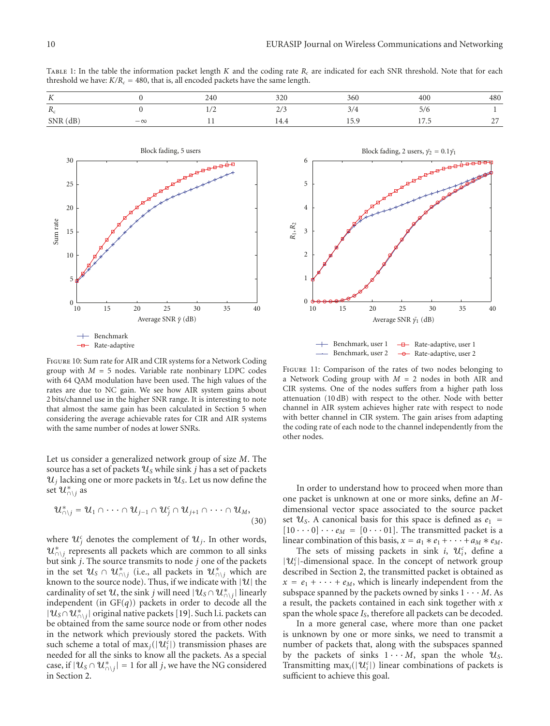Table 1: In the table the information packet length *K* and the coding rate *Rc* are indicated for each SNR threshold. Note that for each threshold we have:  $K/R_c = 480$ , that is, all encoded packets have the same length.

| $\boldsymbol{\mathcal{U}}$<br>А |           | 240   | 320   | 360   | 400                   | 480                |
|---------------------------------|-----------|-------|-------|-------|-----------------------|--------------------|
| $R_c$                           |           | - 1 - | ل ایک | ノケ    | 2/ O                  |                    |
| <b>SNR</b>                      | $-\infty$ |       | 14.4  | 1.9.7 | $\sim$ $\sim$<br>11.7 | $\sim$ $-$<br>، سه |
|                                 |           |       |       |       |                       |                    |





Figure 10: Sum rate for AIR and CIR systems for a Network Coding group with  $M = 5$  nodes. Variable rate nonbinary LDPC codes with 64 QAM modulation have been used. The high values of the rates are due to NC gain. We see how AIR system gains about 2 bits/channel use in the higher SNR range. It is interesting to note that almost the same gain has been calculated in Section 5 when considering the average achievable rates for CIR and AIR systems with the same number of nodes at lower SNRs.

Let us consider a generalized network group of size *M*. The source has a set of packets  $u_s$  while sink *j* has a set of packets  $\mathcal{U}_i$  lacking one or more packets in  $\mathcal{U}_s$ . Let us now define the set  $u_{\cap \setminus j}^*$  as

$$
\mathcal{U}_{\cap \setminus j}^* = \mathcal{U}_1 \cap \cdots \cap \mathcal{U}_{j-1} \cap \mathcal{U}_j^c \cap \mathcal{U}_{j+1} \cap \cdots \cap \mathcal{U}_M, \qquad (30)
$$

where  $\mathcal{U}_i^c$  denotes the complement of  $\mathcal{U}_j$ . In other words,  $u_{\cap \setminus j}^*$  represents all packets which are common to all sinks but sink *j*. The source transmits to node *j* one of the packets in the set  $u_s \cap u_{\cap \setminus j}^*$  (i.e., all packets in  $u_{\cap \setminus j}^*$  which are known to the source node). Thus, if we indicate with  $|\mathcal{U}|$  the cardinality of set  $u$ , the sink *j* will need  $|u_s \cap u_{\cap \setminus j}^*|$  linearly independent (in  $GF(q)$ ) packets in order to decode all the |U<sub>S</sub>∩U∗∧<sub>j</sub>| original native packets [19]. Such l.i. packets can be obtained from the same source node or from other nodes in the network which previously stored the packets. With such scheme a total of  $\max_j(|\mathcal{U}_i^c|)$  transmission phases are needed for all the sinks to know all the packets. As a special case, if  $|\mathcal{U}_{\mathcal{S}} \cap \mathcal{U}_{\cap \backslash j}^*| = 1$  for all *j*, we have the NG considered in Section 2.

Figure 11: Comparison of the rates of two nodes belonging to a Network Coding group with *M* = 2 nodes in both AIR and CIR systems. One of the nodes suffers from a higher path loss attenuation (10 dB) with respect to the other. Node with better channel in AIR system achieves higher rate with respect to node with better channel in CIR system. The gain arises from adapting the coding rate of each node to the channel independently from the other nodes.

In order to understand how to proceed when more than one packet is unknown at one or more sinks, define an *M*dimensional vector space associated to the source packet set  $\mathcal{U}_S$ . A canonical basis for this space is defined as  $e_1$  =  $[10 \cdots 0] \cdots e_M = [0 \cdots 01]$ . The transmitted packet is a linear combination of this basis,  $x = a_1 * e_1 + \cdots + a_M * e_M$ .

The sets of missing packets in sink  $i$ ,  $\mathcal{U}_i^c$ , define a  $|U_i^c|$ -dimensional space. In the concept of network group described in Section 2, the transmitted packet is obtained as  $x = e_1 + \cdots + e_M$ , which is linearly independent from the subspace spanned by the packets owned by sinks  $1 \cdots M$ . As a result, the packets contained in each sink together with *x* span the whole space *IS*, therefore all packets can be decoded.

In a more general case, where more than one packet is unknown by one or more sinks, we need to transmit a number of packets that, along with the subspaces spanned by the packets of sinks  $1 \cdots M$ , span the whole  $U_s$ . Transmitting  $\max_i(|\mathcal{U}_i^c|)$  linear combinations of packets is sufficient to achieve this goal.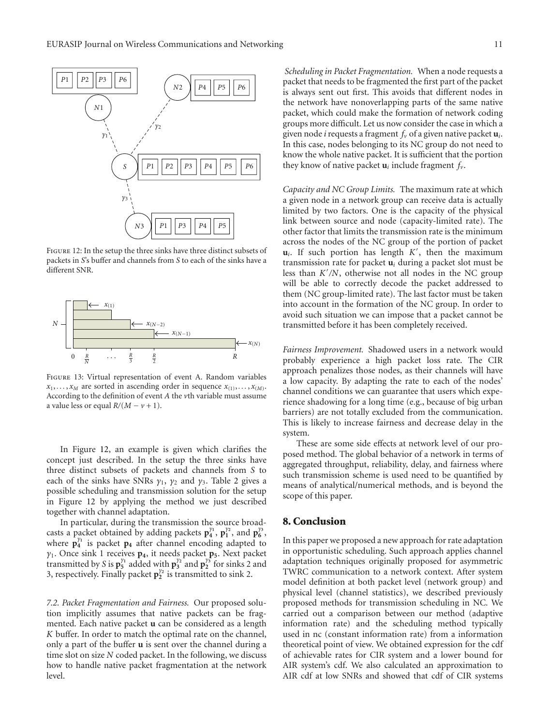

Figure 12: In the setup the three sinks have three distinct subsets of packets in *S*'s buffer and channels from *S* to each of the sinks have a different SNR.



Figure 13: Virtual representation of event A. Random variables  $x_1, \ldots, x_M$  are sorted in ascending order in sequence  $x_{(1)}, \ldots, x_{(M)}$ . According to the definition of event *A* the *v*th variable must assume a value less or equal  $R/(M - \nu + 1)$ .

In Figure 12, an example is given which clarifies the concept just described. In the setup the three sinks have three distinct subsets of packets and channels from *S* to each of the sinks have SNRs *γ*1, *γ*<sup>2</sup> and *γ*3. Table 2 gives a possible scheduling and transmission solution for the setup in Figure 12 by applying the method we just described together with channel adaptation.

In particular, during the transmission the source broadcasts a packet obtained by adding packets  $\mathbf{p}_4^{y_1}$ ,  $\mathbf{p}_1^{y_2}$ , and  $\mathbf{p}_6^{y_3}$ , where  $p_4^{\nu_1}$  is packet  $p_4$  after channel encoding adapted to *γ*1. Once sink 1 receives **p4**, it needs packet **p5**. Next packet transmitted by *S* is  $p_5^{\nu_1}$  added with  $p_3^{\nu_2}$  and  $p_2^{\nu_3}$  for sinks 2 and 3, respectively. Finally packet  $p_2^{\nu_2}$  is transmitted to sink 2.

*7.2. Packet Fragmentation and Fairness.* Our proposed solution implicitly assumes that native packets can be fragmented. Each native packet **u** can be considered as a length *K* buffer. In order to match the optimal rate on the channel, only a part of the buffer **u** is sent over the channel during a time slot on size *N* coded packet. In the following, we discuss how to handle native packet fragmentation at the network level.

*Scheduling in Packet Fragmentation.* When a node requests a packet that needs to be fragmented the first part of the packet is always sent out first. This avoids that different nodes in the network have nonoverlapping parts of the same native packet, which could make the formation of network coding groups more difficult. Let us now consider the case in which a given node *i*requests a fragment *fv* of a given native packet **u***i*. In this case, nodes belonging to its NC group do not need to know the whole native packet. It is sufficient that the portion they know of native packet  $\mathbf{u}_i$  include fragment  $f_\nu$ .

*Capacity and NC Group Limits.* The maximum rate at which a given node in a network group can receive data is actually limited by two factors. One is the capacity of the physical link between source and node (capacity-limited rate). The other factor that limits the transmission rate is the minimum across the nodes of the NC group of the portion of packet  $\mathbf{u}_i$ . If such portion has length  $K'$ , then the maximum transmission rate for packet **u***<sup>i</sup>* during a packet slot must be less than *K'*/*N*, otherwise not all nodes in the NC group will be able to correctly decode the packet addressed to them (NC group-limited rate). The last factor must be taken into account in the formation of the NC group. In order to avoid such situation we can impose that a packet cannot be transmitted before it has been completely received.

*Fairness Improvement.* Shadowed users in a network would probably experience a high packet loss rate. The CIR approach penalizes those nodes, as their channels will have a low capacity. By adapting the rate to each of the nodes' channel conditions we can guarantee that users which experience shadowing for a long time (e.g., because of big urban barriers) are not totally excluded from the communication. This is likely to increase fairness and decrease delay in the system.

These are some side effects at network level of our proposed method. The global behavior of a network in terms of aggregated throughput, reliability, delay, and fairness where such transmission scheme is used need to be quantified by means of analytical/numerical methods, and is beyond the scope of this paper.

# **8. Conclusion**

In this paper we proposed a new approach for rate adaptation in opportunistic scheduling. Such approach applies channel adaptation techniques originally proposed for asymmetric TWRC communication to a network context. After system model definition at both packet level (network group) and physical level (channel statistics), we described previously proposed methods for transmission scheduling in NC. We carried out a comparison between our method (adaptive information rate) and the scheduling method typically used in nc (constant information rate) from a information theoretical point of view. We obtained expression for the cdf of achievable rates for CIR system and a lower bound for AIR system's cdf. We also calculated an approximation to AIR cdf at low SNRs and showed that cdf of CIR systems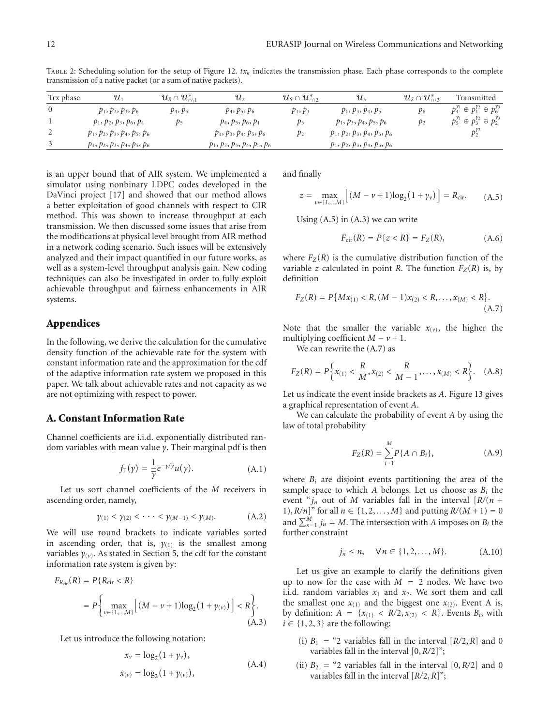Trx phase  $\mathcal{U}_1$   $\mathcal{U}_S \cap \mathcal{U}_{\cap}^*$  $u_2$   $u_s \cap u_{\alpha_2}^*$  $u_3$   $u_5 \cap u_{\gamma\lambda}^*$ ∩\<sup>3</sup> Transmitted 0 *p*1, *p*2, *p*3, *p*<sup>6</sup> *p*4, *p*<sup>5</sup> *p*4, *p*5, *p*<sup>6</sup> *p*1, *p*<sup>3</sup> *p*1, *p*3, *p*4, *p*<sup>5</sup> *p*<sup>6</sup> *p γ*1 <sup>4</sup> <sup>⊕</sup> *<sup>p</sup> γ*2 <sup>1</sup> <sup>⊕</sup> *<sup>p</sup> γ*3 6 1 *p*1, *p*2, *p*3, *p*6, *p*<sup>4</sup> *p*<sup>5</sup> *p*4, *p*5, *p*6, *p*<sup>1</sup> *p*<sup>3</sup> *p*1, *p*3, *p*4, *p*5, *p*<sup>6</sup> *p*<sup>2</sup> *p γ*1 <sup>5</sup> <sup>⊕</sup> *<sup>p</sup> γ*2 <sup>3</sup> <sup>⊕</sup> *<sup>p</sup> γ*3 2 2 *p*1, *p*2, *p*3, *p*4, *p*5, *p*<sup>6</sup> *p*1, *p*3, *p*4, *p*5, *p*<sup>6</sup> *p*<sup>2</sup> *p*1, *p*2, *p*3, *p*4, *p*5, *p*<sup>6</sup> *p γ*2 2

3 *p*1, *p*2, *p*3, *p*4, *p*5, *p*<sup>6</sup> *p*1, *p*2, *p*3, *p*4, *p*5, *p*<sup>6</sup> *p*1, *p*2, *p*3, *p*4, *p*5, *p*<sup>6</sup>

Table 2: Scheduling solution for the setup of Figure 12. *txk* indicates the transmission phase. Each phase corresponds to the complete transmission of a native packet (or a sum of native packets).

is an upper bound that of AIR system. We implemented a simulator using nonbinary LDPC codes developed in the DaVinci project [17] and showed that our method allows a better exploitation of good channels with respect to CIR method. This was shown to increase throughput at each transmission. We then discussed some issues that arise from the modifications at physical level brought from AIR method in a network coding scenario. Such issues will be extensively analyzed and their impact quantified in our future works, as well as a system-level throughput analysis gain. New coding techniques can also be investigated in order to fully exploit achievable throughput and fairness enhancements in AIR systems.

### **Appendices**

In the following, we derive the calculation for the cumulative density function of the achievable rate for the system with constant information rate and the approximation for the cdf of the adaptive information rate system we proposed in this paper. We talk about achievable rates and not capacity as we are not optimizing with respect to power.

#### **A. Constant Information Rate**

Channel coefficients are i.i.d. exponentially distributed random variables with mean value *γ*. Their marginal pdf is then

$$
f_{\Gamma}(\gamma) = \frac{1}{\overline{\gamma}} e^{-\gamma/\overline{\gamma}} u(\gamma).
$$
 (A.1)

Let us sort channel coefficients of the *M* receivers in ascending order, namely,

$$
\gamma_{(1)} < \gamma_{(2)} < \cdot \cdot \cdot < \gamma_{(M-1)} < \gamma_{(M)}.
$$
 (A.2)

We will use round brackets to indicate variables sorted in ascending order, that is,  $\gamma_{(1)}$  is the smallest among variables  $\gamma$ <sub>(*v*)</sub>. As stated in Section 5, the cdf for the constant information rate system is given by:

$$
F_{R_{\text{cir}}}(R) = P\{R_{\text{cir}} < R\}
$$
\n
$$
= P\left\{\max_{\nu \in \{1,\dots,M\}} \left[(M - \nu + 1)\log_2(1 + \gamma_{(\nu)})\right] < R\right\}.
$$
\n(A.3)

Let us introduce the following notation:

$$
x_{\nu} = \log_2(1 + \gamma_{\nu}),
$$
  
\n
$$
x_{(\nu)} = \log_2(1 + \gamma_{(\nu)}),
$$
\n(A.4)

and finally

$$
z = \max_{\nu \in \{1, \dots, M\}} \left[ (M - \nu + 1) \log_2 (1 + \gamma_{\nu}) \right] = R_{\text{cir}}.
$$
 (A.5)

Using  $(A.5)$  in  $(A.3)$  we can write

$$
F_{\rm cir}(R) = P\{z < R\} = F_Z(R),\tag{A.6}
$$

where  $F_Z(R)$  is the cumulative distribution function of the variable *z* calculated in point *R*. The function  $F_Z(R)$  is, by definition

$$
F_Z(R) = P\{Mx_{(1)} < R, (M-1)x_{(2)} < R, \dots, x_{(M)} < R\}.\tag{A.7}
$$

Note that the smaller the variable  $x_{(v)}$ , the higher the multiplying coefficient  $M - v + 1$ .

We can rewrite the (A.7) as

$$
F_Z(R) = P\Big\{x_{(1)} < \frac{R}{M}, x_{(2)} < \frac{R}{M-1}, \dots, x_{(M)} < R\Big\}. \quad \text{(A.8)}
$$

Let us indicate the event inside brackets as *A*. Figure 13 gives a graphical representation of event *A*.

We can calculate the probability of event *A* by using the law of total probability

$$
F_Z(R) = \sum_{i=1}^{M} P\{A \cap B_i\},
$$
 (A.9)

where  $B_i$  are disjoint events partitioning the area of the sample space to which *A* belongs. Let us choose as *Bi* the event " $j_n$  out of *M* variables fall in the interval  $\left[\frac{R}{n} + \frac{R}{n}\right]$ 1),  $R/n$ <sup>"</sup> for all  $n \in \{1, 2, ..., M\}$  and putting  $R/(M + 1) = 0$ and  $\sum_{n=1}^{M} j_n = M$ . The intersection with *A* imposes on *B<sub>i</sub>* the further constraint

$$
j_n \le n, \quad \forall n \in \{1, 2, \dots, M\}.
$$
 (A.10)

Let us give an example to clarify the definitions given up to now for the case with  $M = 2$  nodes. We have two i.i.d. random variables  $x_1$  and  $x_2$ . We sort them and call the smallest one  $x_{(1)}$  and the biggest one  $x_{(2)}$ . Event A is, by definition:  $A = \{x_{(1)} < R/2, x_{(2)} < R\}$ . Events  $B_i$ , with  $i \in \{1, 2, 3\}$  are the following:

- (i)  $B_1$  = "2 variables fall in the interval  $[R/2, R]$  and 0 variables fall in the interval [0, *R/*2]";
- (ii)  $B_2 =$  "2 variables fall in the interval  $[0, R/2]$  and 0 variables fall in the interval [*R/*2, *R*]";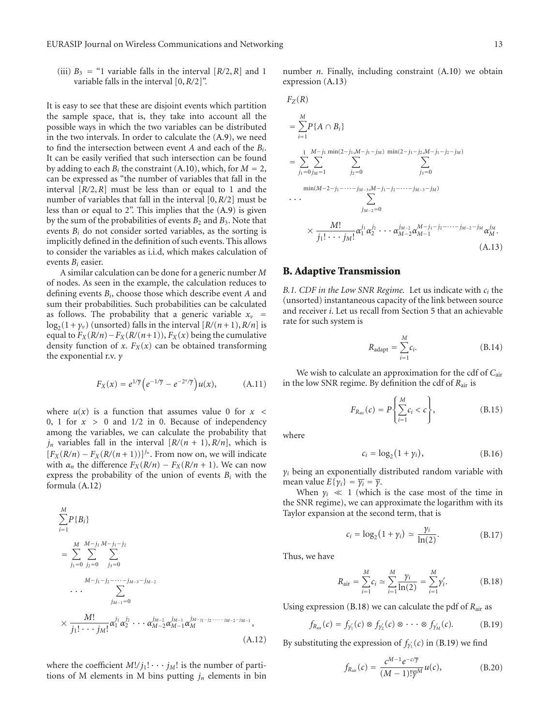(iii)  $B_3 =$  "1 variable falls in the interval  $[R/2, R]$  and 1 variable falls in the interval [0, *R/*2]".

It is easy to see that these are disjoint events which partition the sample space, that is, they take into account all the possible ways in which the two variables can be distributed in the two intervals. In order to calculate the (A.9), we need to find the intersection between event *A* and each of the *Bi*. It can be easily verified that such intersection can be found by adding to each  $B_i$  the constraint (A.10), which, for  $M = 2$ , can be expressed as "the number of variables that fall in the interval [*R/*2, *R*] must be less than or equal to 1 and the number of variables that fall in the interval [0, *R/*2] must be less than or equal to 2". This implies that the (A.9) is given by the sum of the probabilities of events  $B_2$  and  $B_3$ . Note that events *Bi* do not consider sorted variables, as the sorting is implicitly defined in the definition of such events. This allows to consider the variables as i.i.d, which makes calculation of events *Bi* easier.

A similar calculation can be done for a generic number *M* of nodes. As seen in the example, the calculation reduces to defining events *Bi*, choose those which describe event *A* and sum their probabilities. Such probabilities can be calculated as follows. The probability that a generic variable  $x_v$  =  $\log_2(1 + \gamma_v)$  (unsorted) falls in the interval  $[R/(n+1), R/n]$  is equal to  $F_X(R/n) - F_X(R/(n+1))$ ,  $F_X(x)$  being the cumulative density function of *x*.  $F_X(x)$  can be obtained transforming the exponential r.v. *γ*

$$
F_X(x) = e^{1/\overline{\gamma}} \left( e^{-1/\overline{\gamma}} - e^{-2^x/\overline{\gamma}} \right) u(x), \tag{A.11}
$$

where  $u(x)$  is a function that assumes value 0 for  $x <$ 0, 1 for  $x > 0$  and  $1/2$  in 0. Because of independency among the variables, we can calculate the probability that  $j_n$  variables fall in the interval  $[R/(n + 1), R/n]$ , which is  $[F_X(R/n) - F_X(R/(n+1))]^{j_n}$ . From now on, we will indicate with  $\alpha_n$  the difference  $F_X(R/n) - F_X(R/n + 1)$ . We can now express the probability of the union of events  $B_i$  with the formula (A.12)

$$
\sum_{i=1}^{M} P\{B_i\}
$$
\n
$$
= \sum_{j_1=0}^{M} \sum_{j_2=0}^{M-j_1} \sum_{j_3=0}^{M-j_1-j_2} \sum_{j_4=0}^{M-j_1-j_2-\cdots-j_{M-3}-j_{M-2}} \cdots \sum_{j_{M-1}=0}^{M-j_1-j_2-\cdots-j_{M-2}-j_{M-1}} \sum_{j_1!\cdots-j_M!\alpha_1^{j_1}\alpha_2^{j_2}\cdots\alpha_{M-2}^{j_{M-1}}\alpha_1^{j_{M-j_1-j_2-\cdots-j_{M-2}-j_{M-1}}},
$$
\n(A.12)

where the coefficient  $M!/j_1! \cdots j_M!$  is the number of partitions of M elements in M bins putting *jn* elements in bin

number *n*. Finally, including constraint (A.10) we obtain expression (A.13)

$$
F_Z(R)
$$
  
=  $\sum_{i=1}^{M} P\{A \cap B_i\}$   
=  $\sum_{j_1=0}^{1} \sum_{j_1=1}^{M-j_1} \sum_{j_2=0}^{min(2-j_1,M-j_1-j_M)} \sum_{j_3=0}^{min(2-j_1-j_2,M-j_1-j_2-j_M)} \sum_{j_3=0}^{j_3=0}$   
 $\dots \sum_{j_{M-2}=0}^{min(M-2-j_1-\dots-j_{M-3},M-j_1-j_2-\dots-j_{M-3}-j_M)} \sum_{j_{M-2}=0}^{j_{M-2}} \times \frac{M!}{j_1! \cdots j_M!} \alpha_1^{j_1} \alpha_2^{j_2} \cdots \alpha_{M-2}^{j_{M-2}} \alpha_{M-1}^{M-j_1-j_2-\dots-j_{M-2}-j_M} \alpha_M^{j_M}.$   
(A.13)

#### **B. Adaptive Transmission**

*B.1. CDF in the Low SNR Regime.* Let us indicate with *ci* the (unsorted) instantaneous capacity of the link between source and receiver *i*. Let us recall from Section 5 that an achievable rate for such system is

$$
R_{\text{adapt}} = \sum_{i=1}^{M} c_i. \tag{B.14}
$$

We wish to calculate an approximation for the cdf of *C*air in the low SNR regime. By definition the cdf of *R*air is

$$
F_{R_{\text{air}}}(c) = P\left\{\sum_{i=1}^{M} c_i < c\right\},\tag{B.15}
$$

where

*FZ*(*R*)

$$
c_i = \log_2(1 + \gamma_i),\tag{B.16}
$$

*γi* being an exponentially distributed random variable with mean value  $E\{\gamma_i\} = \overline{\gamma_i} = \overline{\gamma}.$ 

When  $y_i \ll 1$  (which is the case most of the time in the SNR regime), we can approximate the logarithm with its Taylor expansion at the second term, that is

$$
c_i = \log_2(1 + \gamma_i) \simeq \frac{\gamma_i}{\ln(2)}.
$$
 (B.17)

Thus, we have

$$
R_{\text{air}} = \sum_{i=1}^{M} c_i \simeq \sum_{i=1}^{M} \frac{\gamma_i}{\ln(2)} = \sum_{i=1}^{M} \gamma'_i.
$$
 (B.18)

Using expression (B.18) we can calculate the pdf of *R*air as

$$
f_{R_{\text{air}}}(c) = f_{\gamma_1'}(c) \otimes f_{\gamma_2'}(c) \otimes \cdots \otimes f_{\gamma_M'}(c). \tag{B.19}
$$

By substituting the expression of  $f_{\gamma_1}(c)$  in (B.19) we find

$$
f_{R_{\text{air}}}(c) = \frac{c^{M-1}e^{-c/\overline{\gamma}}}{(M-1)!\overline{\gamma}^M}u(c),
$$
 (B.20)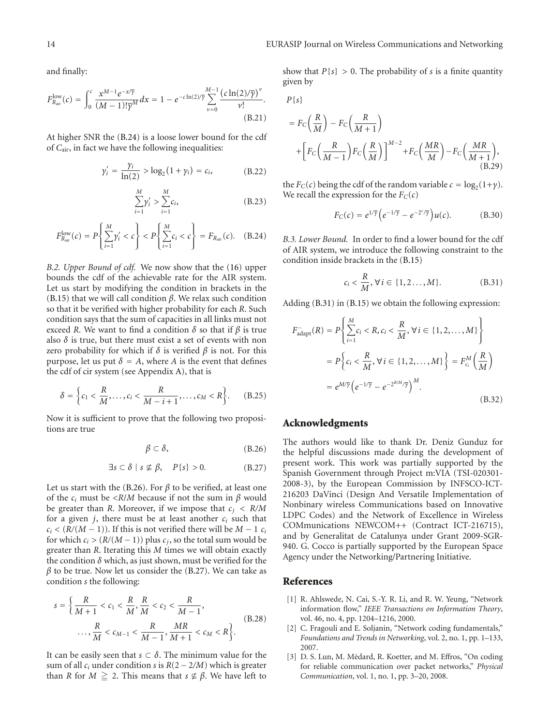and finally:

$$
F_{R_{\text{air}}}^{\text{low}}(c) = \int_0^c \frac{x^{M-1} e^{-x/\overline{\gamma}}}{(M-1)!\overline{\gamma}^M} dx = 1 - e^{-c\ln(2)/\overline{\gamma}} \sum_{\nu=0}^{M-1} \frac{(c\ln(2)/\overline{\gamma})^{\nu}}{\nu!}.
$$
\n(B.21)

At higher SNR the (B.24) is a loose lower bound for the cdf of *C*air, in fact we have the following inequalities:

$$
\gamma_i' = \frac{\gamma_i}{\ln(2)} > \log_2(1 + \gamma_i) = c_i,
$$
 (B.22)

$$
\sum_{i=1}^{M} \gamma'_i > \sum_{i=1}^{M} c_i,
$$
 (B.23)

$$
F_{R_{\text{air}}}^{\text{low}}(c) = P\left\{\sum_{i=1}^{M} \gamma'_i < c\right\} < P\left\{\sum_{i=1}^{M} c_i < c\right\} = F_{R_{\text{air}}}(c). \quad (B.24)
$$

*B.2. Upper Bound of cdf.* We now show that the (16) upper bounds the cdf of the achievable rate for the AIR system. Let us start by modifying the condition in brackets in the (B.15) that we will call condition *β*. We relax such condition so that it be verified with higher probability for each *R*. Such condition says that the sum of capacities in all links must not exceed *R*. We want to find a condition  $\delta$  so that if  $\beta$  is true also  $\delta$  is true, but there must exist a set of events with non zero probability for which if  $\delta$  is verified  $\beta$  is not. For this purpose, let us put  $\delta = A$ , where *A* is the event that defines the cdf of cir system (see Appendix A), that is

$$
\delta = \left\{c_1 < \frac{R}{M}, \ldots, c_i < \frac{R}{M - i + 1}, \ldots, c_M < R\right\}.\tag{B.25}
$$

Now it is sufficient to prove that the following two propositions are true

$$
\beta \subset \delta, \tag{B.26}
$$

$$
\exists s \subset \delta \mid s \nsubseteq \beta, \quad P\{s\} > 0. \tag{B.27}
$$

Let us start with the (B.26). For  $\beta$  to be verified, at least one of the  $c_i$  must be  $\langle R/M \rangle$  because if not the sum in  $\beta$  would be greater than *R*. Moreover, if we impose that *cj < R/M* for a given *j*, there must be at least another *ci* such that  $c_i$  < ( $R/(M - 1)$ ). If this is not verified there will be  $M - 1$   $c_i$ for which  $c_i$  > ( $R/(M-1)$ ) plus  $c_j$ , so the total sum would be greater than *R*. Iterating this *M* times we will obtain exactly the condition  $\delta$  which, as just shown, must be verified for the  $β$  to be true. Now let us consider the (B.27). We can take as condition *s* the following:

$$
s = \left\{ \frac{R}{M+1} < c_1 < \frac{R}{M}, \frac{R}{M} < c_2 < \frac{R}{M-1}, \dots, \frac{R}{M} < c_{M-1} < \frac{R}{M-1}, \frac{MR}{M+1} < c_M < R \right\}. \tag{B.28}
$$

It can be easily seen that  $s \subset \delta$ . The minimum value for the sum of all  $c_i$  under condition *s* is  $R(2 - 2/M)$  which is greater than *R* for  $M \geq 2$ . This means that  $s \not\in \beta$ . We have left to show that  $P\{s\} > 0$ . The probability of *s* is a finite quantity given by

$$
P\{s\}
$$

$$
= F_C\left(\frac{R}{M}\right) - F_C\left(\frac{R}{M+1}\right)
$$
  
+ 
$$
\left[F_C\left(\frac{R}{M-1}\right)F_C\left(\frac{R}{M}\right)\right]^{M-2} + F_C\left(\frac{MR}{M}\right) - F_C\left(\frac{MR}{M+1}\right),
$$
  
(B.29)

the  $F_C(c)$  being the cdf of the random variable  $c = \log_2(1+\gamma)$ . We recall the expression for the  $F_C(c)$ 

$$
F_C(c) = e^{1/\overline{\gamma}} \left( e^{-1/\overline{\gamma}} - e^{-2c/\overline{\gamma}} \right) u(c). \tag{B.30}
$$

*B.3. Lower Bound.* In order to find a lower bound for the cdf of AIR system, we introduce the following constraint to the condition inside brackets in the (B.15)

$$
c_i < \frac{R}{M}, \forall i \in \{1, 2, \dots, M\}. \tag{B.31}
$$

Adding (B.31) in (B.15) we obtain the following expression:

$$
F_{\text{adapt}}^{-}(R) = P\left\{\sum_{i=1}^{M} c_i < R, c_i < \frac{R}{M}, \forall i \in \{1, 2, \dots, M\}\right\}
$$
\n
$$
= P\left\{c_i < \frac{R}{M}, \forall i \in \{1, 2, \dots, M\}\right\} = F_{c_i}^{M} \left(\frac{R}{M}\right)
$$
\n
$$
= e^{M/\overline{\gamma}} \left(e^{-1/\overline{\gamma}} - e^{-2^{R/M}/\overline{\gamma}}\right)^M.
$$
\n(B.32)

#### **Acknowledgments**

The authors would like to thank Dr. Deniz Gunduz for the helpful discussions made during the development of present work. This work was partially supported by the Spanish Government through Project m:VIA (TSI-020301- 2008-3), by the European Commission by INFSCO-ICT-216203 DaVinci (Design And Versatile Implementation of Nonbinary wireless Communications based on Innovative LDPC Codes) and the Network of Excellence in Wireless COMmunications NEWCOM++ (Contract ICT-216715), and by Generalitat de Catalunya under Grant 2009-SGR-940. G. Cocco is partially supported by the European Space Agency under the Networking/Partnering Initiative.

#### **References**

- [1] R. Ahlswede, N. Cai, S.-Y. R. Li, and R. W. Yeung, "Network information flow," *IEEE Transactions on Information Theory*, vol. 46, no. 4, pp. 1204–1216, 2000.
- [2] C. Fragouli and E. Soljanin, "Network coding fundamentals," *Foundations and Trends in Networking*, vol. 2, no. 1, pp. 1–133, 2007.
- [3] D. S. Lun, M. Médard, R. Koetter, and M. Effros, "On coding for reliable communication over packet networks," *Physical Communication*, vol. 1, no. 1, pp. 3–20, 2008.